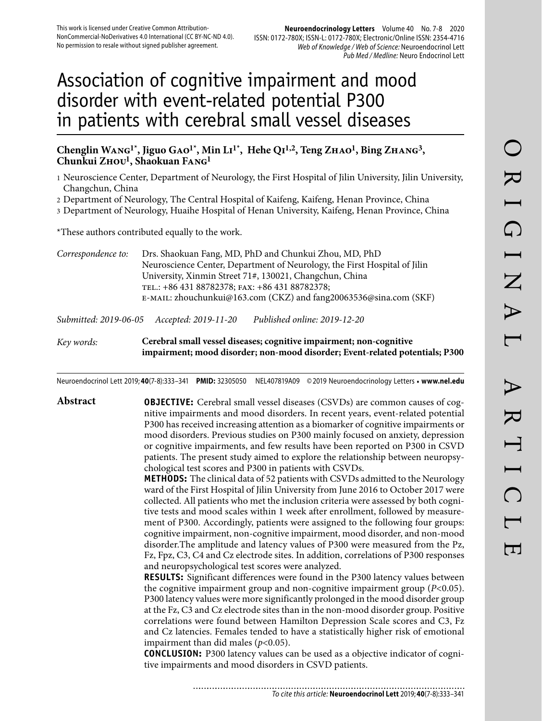# Association of cognitive impairment and mood disorder with event-related potential P300 in patients with cerebral small vessel diseases

# **Chenglin Wang1\*, Jiguo Gao1\*, Min Li1\*, Hehe Qi1,2, Teng Zhao1, Bing Zhang3, Chunkui Zhou1, Shaokuan Fang1**

- 1 Neuroscience Center, Department of Neurology, the First Hospital of Jilin University, Jilin University, Changchun, China
- 2 Department of Neurology, The Central Hospital of Kaifeng, Kaifeng, Henan Province, China
- 3 Department of Neurology, Huaihe Hospital of Henan University, Kaifeng, Henan Province, China

\*These authors contributed equally to the work.

| Correspondence to: | Drs. Shaokuan Fang, MD, PhD and Chunkui Zhou, MD, PhD                     |
|--------------------|---------------------------------------------------------------------------|
|                    | Neuroscience Center, Department of Neurology, the First Hospital of Jilin |
|                    | University, Xinmin Street 71#, 130021, Changchun, China                   |
|                    | TEL.: +86 431 88782378; FAX: +86 431 88782378;                            |
|                    | E-MAIL: zhouchunkui@163.com (CKZ) and fang20063536@sina.com (SKF)         |
|                    |                                                                           |

*Submitted: 2019-06-05 Accepted: 2019-11-20 Published online: 2019-12-20*

*Key words:* **Cerebral small vessel diseases; cognitive impairment; non-cognitive impairment; mood disorder; non-mood disorder; Event-related potentials; P300** 

Neuroendocrinol Lett 2019; **40**(7-8):333–341 **PMID:** 32305050 NEL407819A09 © 2019 Neuroendocrinology Letters • **www.nel.edu**

# **Abstract OBJECTIVE:** Cerebral small vessel diseases (CSVDs) are common causes of cognitive impairments and mood disorders. In recent years, event-related potential P300 has received increasing attention as a biomarker of cognitive impairments or mood disorders. Previous studies on P300 mainly focused on anxiety, depression or cognitive impairments, and few results have been reported on P300 in CSVD patients. The present study aimed to explore the relationship between neuropsychological test scores and P300 in patients with CSVDs.

**METHODS:** The clinical data of 52 patients with CSVDs admitted to the Neurology ward of the First Hospital of Jilin University from June 2016 to October 2017 were collected. All patients who met the inclusion criteria were assessed by both cognitive tests and mood scales within 1 week after enrollment, followed by measurement of P300. Accordingly, patients were assigned to the following four groups: cognitive impairment, non-cognitive impairment, mood disorder, and non-mood disorder.The amplitude and latency values of P300 were measured from the Pz, Fz, Fpz, C3, C4 and Cz electrode sites. In addition, correlations of P300 responses and neuropsychological test scores were analyzed.

**RESULTS:** Significant differences were found in the P300 latency values between the cognitive impairment group and non-cognitive impairment group (*P*<0.05). P300 latency values were more significantly prolonged in the mood disorder group at the Fz, C3 and Cz electrode sites than in the non-mood disorder group. Positive correlations were found between Hamilton Depression Scale scores and C3, Fz and Cz latencies. Females tended to have a statistically higher risk of emotional impairment than did males  $(p<0.05)$ .

**CONCLUSION:** P300 latency values can be used as a objective indicator of cognitive impairments and mood disorders in CSVD patients.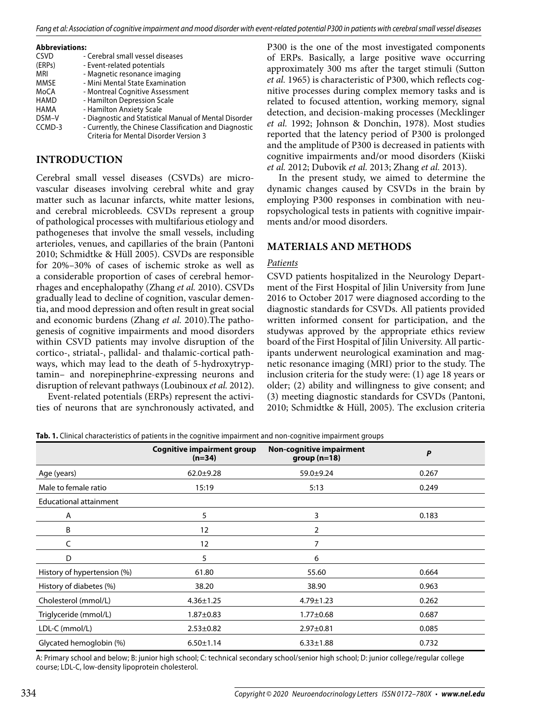#### **Abbreviations:**

| <b>CSVD</b> | - Cerebral small vessel diseases                       |
|-------------|--------------------------------------------------------|
| (ERPs)      | - Event-related potentials                             |
| MRI         | - Magnetic resonance imaging                           |
| MMSE        | - Mini Mental State Examination                        |
| MoCA        | - Montreal Cognitive Assessment                        |
| HAMD        | - Hamilton Depression Scale                            |
| HAMA        | - Hamilton Anxiety Scale                               |
| DSM-V       | - Diagnostic and Statistical Manual of Mental Disorder |
| CCMD-3      | - Currently, the Chinese Classification and Diagnostic |
|             | Criteria for Mental Disorder Version 3                 |

# **INTRODUCTION**

Cerebral small vessel diseases (CSVDs) are microvascular diseases involving cerebral white and gray matter such as lacunar infarcts, white matter lesions, and cerebral microbleeds. CSVDs represent a group of pathological processes with multifarious etiology and pathogeneses that involve the small vessels, including arterioles, venues, and capillaries of the brain (Pantoni 2010; Schmidtke & Hüll 2005). CSVDs are responsible for 20%–30% of cases of ischemic stroke as well as a considerable proportion of cases of cerebral hemorrhages and encephalopathy (Zhang *et al.* 2010). CSVDs gradually lead to decline of cognition, vascular dementia, and mood depression and often result in great social and economic burdens (Zhang *et al.* 2010).The pathogenesis of cognitive impairments and mood disorders within CSVD patients may involve disruption of the cortico-, striatal-, pallidal- and thalamic-cortical pathways, which may lead to the death of 5-hydroxytryptamin– and norepinephrine-expressing neurons and disruption of relevant pathways (Loubinoux *et al.* 2012).

Event-related potentials (ERPs) represent the activities of neurons that are synchronously activated, and P300 is the one of the most investigated components of ERPs. Basically, a large positive wave occurring approximately 300 ms after the target stimuli (Sutton *et al.* 1965) is characteristic of P300, which reflects cognitive processes during complex memory tasks and is related to focused attention, working memory, signal detection, and decision-making processes (Mecklinger *et al.* 1992; Johnson & Donchin, 1978). Most studies reported that the latency period of P300 is prolonged and the amplitude of P300 is decreased in patients with cognitive impairments and/or mood disorders (Kiiski *et al.* 2012; Dubovik *et al.* 2013; Zhang *et al.* 2013).

In the present study, we aimed to determine the dynamic changes caused by CSVDs in the brain by employing P300 responses in combination with neuropsychological tests in patients with cognitive impairments and/or mood disorders.

# **MATERIALS AND METHODS**

## *Patients*

CSVD patients hospitalized in the Neurology Department of the First Hospital of Jilin University from June 2016 to October 2017 were diagnosed according to the diagnostic standards for CSVDs. All patients provided written informed consent for participation, and the studywas approved by the appropriate ethics review board of the First Hospital of Jilin University. All participants underwent neurological examination and magnetic resonance imaging (MRI) prior to the study. The inclusion criteria for the study were: (1) age 18 years or older; (2) ability and willingness to give consent; and (3) meeting diagnostic standards for CSVDs (Pantoni, 2010; Schmidtke & Hüll, 2005). The exclusion criteria

|  |  | Tab. 1. Clinical characteristics of patients in the cognitive impairment and non-cognitive impairment groups |  |  |  |  |  |  |  |  |
|--|--|--------------------------------------------------------------------------------------------------------------|--|--|--|--|--|--|--|--|
|  |  |                                                                                                              |  |  |  |  |  |  |  |  |

|                               | <b>Cognitive impairment group</b><br>$(n=34)$ | <b>Non-cognitive impairment</b><br>$group(n=18)$ | P     |
|-------------------------------|-----------------------------------------------|--------------------------------------------------|-------|
| Age (years)                   | $62.0 + 9.28$                                 | $59.0 + 9.24$                                    | 0.267 |
| Male to female ratio          | 15:19                                         | 5:13                                             | 0.249 |
| <b>Educational attainment</b> |                                               |                                                  |       |
| A                             | 5                                             | 3                                                | 0.183 |
| B                             | 12                                            | $\overline{2}$                                   |       |
| C                             | 12                                            | 7                                                |       |
| D                             | 5                                             | 6                                                |       |
| History of hypertension (%)   | 61.80                                         | 55.60                                            | 0.664 |
| History of diabetes (%)       | 38.20                                         | 38.90                                            | 0.963 |
| Cholesterol (mmol/L)          | $4.36 \pm 1.25$                               | $4.79 \pm 1.23$                                  | 0.262 |
| Triglyceride (mmol/L)         | $1.87 \pm 0.83$                               | $1.77 \pm 0.68$                                  | 0.687 |
| LDL-C (mmol/L)                | $2.53 \pm 0.82$                               | $2.97 \pm 0.81$                                  | 0.085 |
| Glycated hemoglobin (%)       | $6.50 \pm 1.14$                               | $6.33 \pm 1.88$                                  | 0.732 |

A: Primary school and below; B: junior high school; C: technical secondary school/senior high school; D: junior college/regular college course; LDL-C, low-density lipoprotein cholesterol.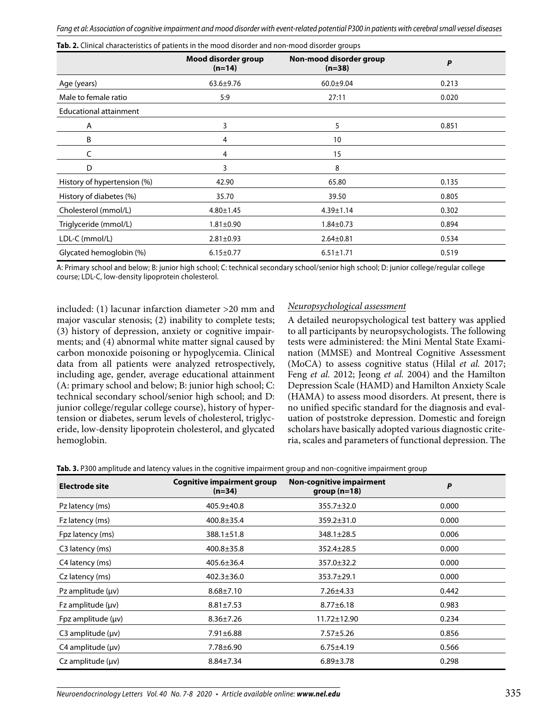| <b>TWO E:</b> Chincal Characteristics of patients in the mood disorder and non-mood disorder groups |                                 |                                     |       |  |  |  |
|-----------------------------------------------------------------------------------------------------|---------------------------------|-------------------------------------|-------|--|--|--|
|                                                                                                     | Mood disorder group<br>$(n=14)$ | Non-mood disorder group<br>$(n=38)$ | P     |  |  |  |
| Age (years)                                                                                         | $63.6 \pm 9.76$                 | $60.0 + 9.04$                       | 0.213 |  |  |  |
| Male to female ratio                                                                                | 5:9                             | 27:11                               | 0.020 |  |  |  |
| <b>Educational attainment</b>                                                                       |                                 |                                     |       |  |  |  |
| A                                                                                                   | 3                               | 5                                   | 0.851 |  |  |  |
| B                                                                                                   | 4                               | 10                                  |       |  |  |  |
| C                                                                                                   | 4                               | 15                                  |       |  |  |  |
| D                                                                                                   | 3                               | 8                                   |       |  |  |  |
| History of hypertension (%)                                                                         | 42.90                           | 65.80                               | 0.135 |  |  |  |
| History of diabetes (%)                                                                             | 35.70                           | 39.50                               | 0.805 |  |  |  |
| Cholesterol (mmol/L)                                                                                | $4.80 \pm 1.45$                 | $4.39 \pm 1.14$                     | 0.302 |  |  |  |
| Triglyceride (mmol/L)                                                                               | $1.81 \pm 0.90$                 | $1.84 \pm 0.73$                     | 0.894 |  |  |  |
| LDL-C (mmol/L)                                                                                      | $2.81 \pm 0.93$                 | $2.64 \pm 0.81$                     | 0.534 |  |  |  |
| Glycated hemoglobin (%)                                                                             | $6.15 \pm 0.77$                 | $6.51 \pm 1.71$                     | 0.519 |  |  |  |

**Tab. 2.** Clinical characteristics of patients in the mood disorder and non-mood disorder groups

A: Primary school and below; B: junior high school; C: technical secondary school/senior high school; D: junior college/regular college course; LDL-C, low-density lipoprotein cholesterol.

included: (1) lacunar infarction diameter >20 mm and major vascular stenosis; (2) inability to complete tests; (3) history of depression, anxiety or cognitive impairments; and (4) abnormal white matter signal caused by carbon monoxide poisoning or hypoglycemia. Clinical data from all patients were analyzed retrospectively, including age, gender, average educational attainment (A: primary school and below; B: junior high school; C: technical secondary school/senior high school; and D: junior college/regular college course), history of hypertension or diabetes, serum levels of cholesterol, triglyceride, low-density lipoprotein cholesterol, and glycated hemoglobin.

## *Neuropsychological assessment*

A detailed neuropsychological test battery was applied to all participants by neuropsychologists. The following tests were administered: the Mini Mental State Examination (MMSE) and Montreal Cognitive Assessment (MoCA) to assess cognitive status (Hilal *et al.* 2017; Feng *et al.* 2012; Jeong *et al.* 2004) and the Hamilton Depression Scale (HAMD) and Hamilton Anxiety Scale (HAMA) to assess mood disorders. At present, there is no unified specific standard for the diagnosis and evaluation of poststroke depression. Domestic and foreign scholars have basically adopted various diagnostic criteria, scales and parameters of functional depression. The

|  |  |  | Tab. 3. P300 amplitude and latency values in the cognitive impairment group and non-cognitive impairment group |  |
|--|--|--|----------------------------------------------------------------------------------------------------------------|--|
|  |  |  |                                                                                                                |  |

| <b>Electrode site</b>     | <b>Cognitive impairment group</b><br>$(n=34)$ | <b>Non-cognitive impairment</b><br>$group(n=18)$ | P     |
|---------------------------|-----------------------------------------------|--------------------------------------------------|-------|
| Pz latency (ms)           | 405.9±40.8                                    | $355.7 \pm 32.0$                                 | 0.000 |
| Fz latency (ms)           | $400.8 \pm 35.4$                              | $359.2 \pm 31.0$                                 | 0.000 |
| Fpz latency (ms)          | $388.1 \pm 51.8$                              | $348.1 \pm 28.5$                                 | 0.006 |
| C3 latency (ms)           | $400.8 \pm 35.8$                              | $352.4 \pm 28.5$                                 | 0.000 |
| C4 latency (ms)           | $405.6 \pm 36.4$                              | 357.0±32.2                                       | 0.000 |
| Cz latency (ms)           | $402.3 \pm 36.0$                              | 353.7±29.1                                       | 0.000 |
| Pz amplitude $(\mu \nu)$  | $8.68 \pm 7.10$                               | $7.26 \pm 4.33$                                  | 0.442 |
| Fz amplitude (µv)         | $8.81 \pm 7.53$                               | $8.77 \pm 6.18$                                  | 0.983 |
| Fpz amplitude $(\mu \nu)$ | $8.36 \pm 7.26$                               | $11.72 \pm 12.90$                                | 0.234 |
| $C3$ amplitude ( $\mu$ v) | $7.91 \pm 6.88$                               | $7.57 \pm 5.26$                                  | 0.856 |
| $C4$ amplitude ( $\mu$ v) | 7.78±6.90                                     | $6.75 \pm 4.19$                                  | 0.566 |
| $Cz$ amplitude $(\mu v)$  | $8.84 \pm 7.34$                               | $6.89 \pm 3.78$                                  | 0.298 |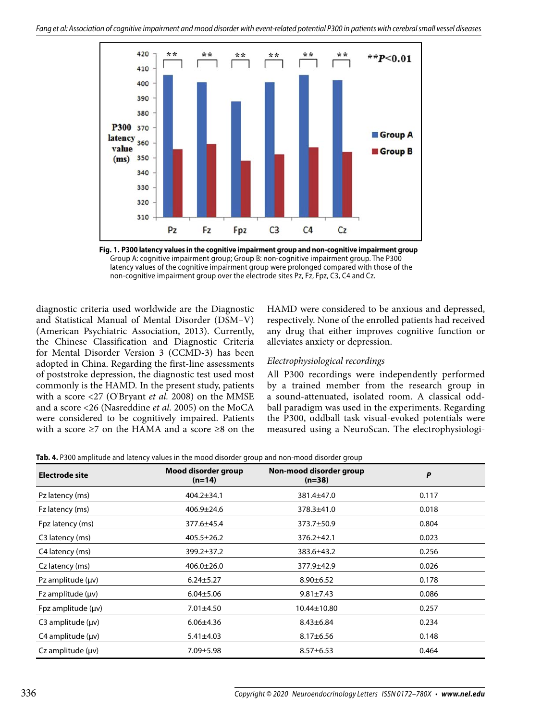

**Fig. 1. P300 latency values in the cognitive impairment group and non-cognitive impairment group**  Group A: cognitive impairment group; Group B: non-cognitive impairment group. The P300 latency values of the cognitive impairment group were prolonged compared with those of the non-cognitive impairment group over the electrode sites Pz, Fz, Fpz, C3, C4 and Cz.

diagnostic criteria used worldwide are the Diagnostic and Statistical Manual of Mental Disorder (DSM–V) (American Psychiatric Association, 2013). Currently, the Chinese Classification and Diagnostic Criteria for Mental Disorder Version 3 (CCMD-3) has been adopted in China. Regarding the first-line assessments of poststroke depression, the diagnostic test used most commonly is the HAMD. In the present study, patients with a score <27 (O'Bryant *et al.* 2008) on the MMSE and a score <26 (Nasreddine *et al.* 2005) on the MoCA were considered to be cognitively impaired. Patients with a score ≥7 on the HAMA and a score ≥8 on the

HAMD were considered to be anxious and depressed, respectively. None of the enrolled patients had received any drug that either improves cognitive function or alleviates anxiety or depression.

## *Electrophysiological recordings*

All P300 recordings were independently performed by a trained member from the research group in a sound-attenuated, isolated room. A classical oddball paradigm was used in the experiments. Regarding the P300, oddball task visual-evoked potentials were measured using a NeuroScan. The electrophysiologi-

| Tab. 4. P300 amplitude and latency values in the mood disorder group and non-mood disorder group |  |
|--------------------------------------------------------------------------------------------------|--|
|                                                                                                  |  |

| Electrode site            | Mood disorder group<br>$(n=14)$ | Non-mood disorder group<br>$(n=38)$ | P     |  |
|---------------------------|---------------------------------|-------------------------------------|-------|--|
| Pz latency (ms)           | $404.2 \pm 34.1$                | 381.4±47.0                          | 0.117 |  |
| Fz latency (ms)           | 406.9±24.6                      | 378.3±41.0                          | 0.018 |  |
| Fpz latency (ms)          | 377.6±45.4                      | 373.7±50.9                          | 0.804 |  |
| C3 latency (ms)           | $405.5 \pm 26.2$                | 376.2±42.1                          | 0.023 |  |
| C4 latency (ms)           | 399.2±37.2                      | 383.6±43.2                          | 0.256 |  |
| Cz latency (ms)           | $406.0 \pm 26.0$                | 377.9±42.9                          | 0.026 |  |
| Pz amplitude $(\mu \nu)$  | $6.24 \pm 5.27$                 | $8.90 \pm 6.52$                     | 0.178 |  |
| Fz amplitude $(\mu \nu)$  | $6.04 \pm 5.06$                 | $9.81 \pm 7.43$                     | 0.086 |  |
| Fpz amplitude $(\mu \nu)$ | $7.01 \pm 4.50$                 | $10.44 \pm 10.80$                   | 0.257 |  |
| C3 amplitude $(\mu \nu)$  | $6.06{\pm}4.36$                 | $8.43 \pm 6.84$                     | 0.234 |  |
| $C4$ amplitude ( $\mu$ v) | $5.41 \pm 4.03$                 | $8.17 \pm 6.56$                     | 0.148 |  |
| $Cz$ amplitude $(uv)$     | $7.09 \pm 5.98$                 | $8.57 \pm 6.53$                     | 0.464 |  |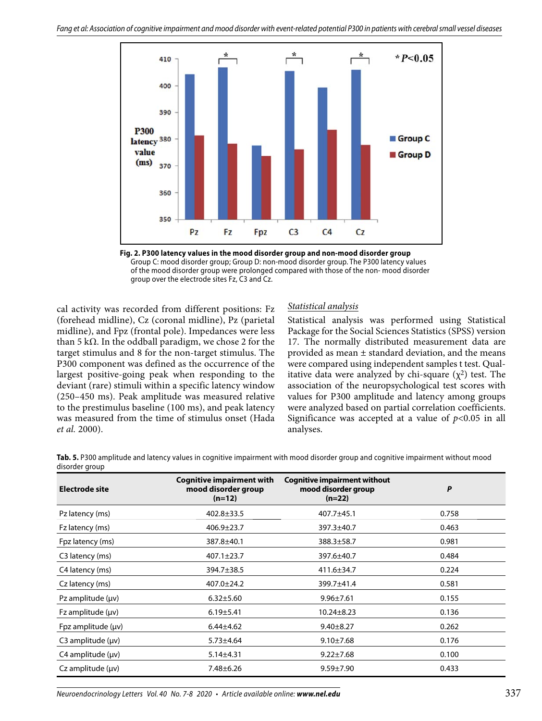

**Fig. 2. P300 latency values in the mood disorder group and non-mood disorder group** Group C: mood disorder group; Group D: non-mood disorder group. The P300 latency values of the mood disorder group were prolonged compared with those of the non- mood disorder group over the electrode sites Fz, C3 and Cz.

cal activity was recorded from different positions: Fz (forehead midline), Cz (coronal midline), Pz (parietal midline), and Fpz (frontal pole). Impedances were less than 5 kΩ. In the oddball paradigm, we chose 2 for the target stimulus and 8 for the non-target stimulus. The P300 component was defined as the occurrence of the largest positive-going peak when responding to the deviant (rare) stimuli within a specific latency window (250–450 ms). Peak amplitude was measured relative to the prestimulus baseline (100 ms), and peak latency was measured from the time of stimulus onset (Hada *et al.* 2000).

# *Statistical analysis*

Statistical analysis was performed using Statistical Package for the Social Sciences Statistics (SPSS) version 17. The normally distributed measurement data are provided as mean ± standard deviation, and the means were compared using independent samples t test. Qualitative data were analyzed by chi-square  $(\chi^2)$  test. The association of the neuropsychological test scores with values for P300 amplitude and latency among groups were analyzed based on partial correlation coefficients. Significance was accepted at a value of  $p<0.05$  in all analyses.

**Tab. 5.** P300 amplitude and latency values in cognitive impairment with mood disorder group and cognitive impairment without mood disorder group

| <b>Electrode site</b>     | <b>Cognitive impairment with</b><br>mood disorder group<br>$(n=12)$ | <b>Cognitive impairment without</b><br>mood disorder group<br>$(n=22)$ | P     |
|---------------------------|---------------------------------------------------------------------|------------------------------------------------------------------------|-------|
| Pz latency (ms)           | $402.8 \pm 33.5$                                                    | 407.7±45.1                                                             | 0.758 |
| Fz latency (ms)           | $406.9 \pm 23.7$                                                    | 397.3±40.7                                                             | 0.463 |
| Fpz latency (ms)          | 387.8±40.1                                                          | 388.3±58.7                                                             | 0.981 |
| C3 latency (ms)           | $407.1 \pm 23.7$                                                    | 397.6±40.7                                                             | 0.484 |
| C4 latency (ms)           | 394.7±38.5                                                          | 411.6±34.7                                                             | 0.224 |
| Cz latency (ms)           | $407.0 \pm 24.2$                                                    | 399.7±41.4                                                             | 0.581 |
| Pz amplitude $(\mu \nu)$  | $6.32 \pm 5.60$                                                     | $9.96 \pm 7.61$                                                        | 0.155 |
| $Fz$ amplitude ( $\mu$ v) | $6.19 \pm 5.41$                                                     | $10.24 \pm 8.23$                                                       | 0.136 |
| Fpz amplitude $(\mu \nu)$ | $6.44 \pm 4.62$                                                     | $9.40 \pm 8.27$                                                        | 0.262 |
| C3 amplitude $(\mu \nu)$  | $5.73 \pm 4.64$                                                     | $9.10 \pm 7.68$                                                        | 0.176 |
| $C4$ amplitude ( $\mu$ v) | $5.14 \pm 4.31$                                                     | $9.22 \pm 7.68$                                                        | 0.100 |
| $Cz$ amplitude $(\mu v)$  | $7.48 \pm 6.26$                                                     | $9.59 \pm 7.90$                                                        | 0.433 |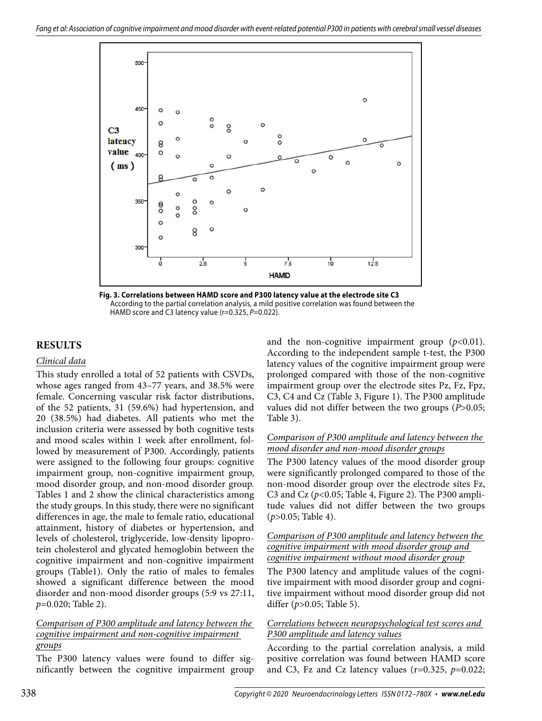

**Fig. 3. Correlations between HAMD score and P300 latency value at the electrode site C3** According to the partial correlation analysis, a mild positive correlation was found between the HAMD score and C3 latency value (r=0.325, P=0.022).

# **RESULTS**

## *Clinical data*

This study enrolled a total of 52 patients with CSVDs, whose ages ranged from 43–77 years, and 38.5% were female. Concerning vascular risk factor distributions, of the 52 patients, 31 (59.6%) had hypertension, and 20 (38.5%) had diabetes. All patients who met the inclusion criteria were assessed by both cognitive tests and mood scales within 1 week after enrollment, followed by measurement of P300. Accordingly, patients were assigned to the following four groups: cognitive impairment group, non-cognitive impairment group, mood disorder group, and non-mood disorder group. Tables 1 and 2 show the clinical characteristics among the study groups. In this study, there were no significant differences in age, the male to female ratio, educational attainment, history of diabetes or hypertension, and levels of cholesterol, triglyceride, low-density lipoprotein cholesterol and glycated hemoglobin between the cognitive impairment and non-cognitive impairment groups (Table1). Only the ratio of males to females showed a significant difference between the mood disorder and non-mood disorder groups (5:9 vs 27:11, *p*=0.020; Table 2).

# *Comparison of P300 amplitude and latency between the cognitive impairment and non-cognitive impairment groups*

The P300 latency values were found to differ significantly between the cognitive impairment group and the non-cognitive impairment group  $(p<0.01)$ . According to the independent sample t-test, the P300 latency values of the cognitive impairment group were prolonged compared with those of the non-cognitive impairment group over the electrode sites Pz, Fz, Fpz, C3, C4 and Cz (Table 3, Figure 1). The P300 amplitude values did not differ between the two groups (*P*>0.05; Table 3).

# *Comparison of P300 amplitude and latency between the mood disorder and non-mood disorder groups*

The P300 latency values of the mood disorder group were significantly prolonged compared to those of the non-mood disorder group over the electrode sites Fz, C3 and Cz (*p*<0.05; Table 4, Figure 2). The P300 amplitude values did not differ between the two groups (*p*>0.05; Table 4).

## *Comparison of P300 amplitude and latency between the cognitive impairment with mood disorder group and cognitive impairment without mood disorder group*

The P300 latency and amplitude values of the cognitive impairment with mood disorder group and cognitive impairment without mood disorder group did not differ (*p*>0.05; Table 5).

# *Correlations between neuropsychological test scores and P300 amplitude and latency values*

According to the partial correlation analysis, a mild positive correlation was found between HAMD score and C3, Fz and Cz latency values  $(r=0.325, p=0.022;$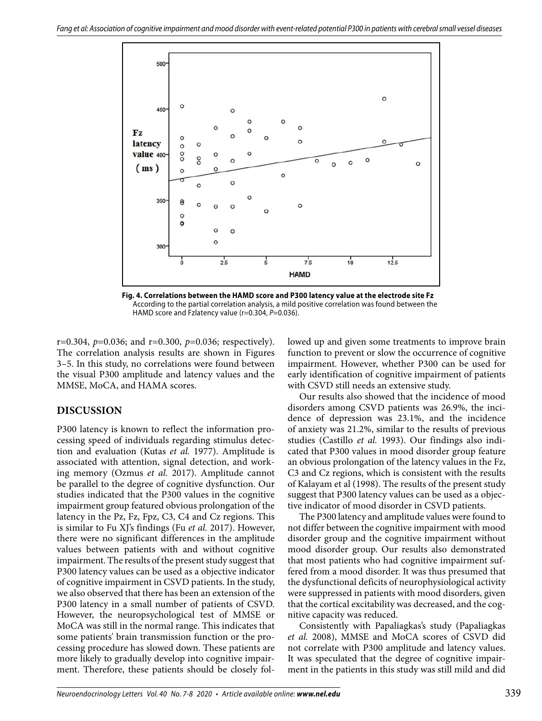

**Fig. 4. Correlations between the HAMD score and P300 latency value at the electrode site Fz** According to the partial correlation analysis, a mild positive correlation was found between the HAMD score and Fzlatency value (r=0.304, P=0.036).

r=0.304, *p*=0.036; and r=0.300, *p*=0.036; respectively). The correlation analysis results are shown in Figures 3–5. In this study, no correlations were found between the visual P300 amplitude and latency values and the MMSE, MoCA, and HAMA scores.

# **DISCUSSION**

P300 latency is known to reflect the information processing speed of individuals regarding stimulus detection and evaluation (Kutas *et al.* 1977). Amplitude is associated with attention, signal detection, and working memory (Ozmus *et al.* 2017). Amplitude cannot be parallel to the degree of cognitive dysfunction. Our studies indicated that the P300 values in the cognitive impairment group featured obvious prolongation of the latency in the Pz, Fz, Fpz, C3, C4 and Cz regions. This is similar to Fu XJ's findings (Fu *et al.* 2017). However, there were no significant differences in the amplitude values between patients with and without cognitive impairment. The results of the present study suggest that P300 latency values can be used as a objective indicator of cognitive impairment in CSVD patients. In the study, we also observed that there has been an extension of the P300 latency in a small number of patients of CSVD. However, the neuropsychological test of MMSE or MoCA was still in the normal range. This indicates that some patients' brain transmission function or the processing procedure has slowed down. These patients are more likely to gradually develop into cognitive impairment. Therefore, these patients should be closely followed up and given some treatments to improve brain function to prevent or slow the occurrence of cognitive impairment. However, whether P300 can be used for early identification of cognitive impairment of patients with CSVD still needs an extensive study.

Our results also showed that the incidence of mood disorders among CSVD patients was 26.9%, the incidence of depression was 23.1%, and the incidence of anxiety was 21.2%, similar to the results of previous studies (Castillo *et al.* 1993). Our findings also indicated that P300 values in mood disorder group feature an obvious prolongation of the latency values in the Fz, C3 and Cz regions, which is consistent with the results of Kalayam et al (1998). The results of the present study suggest that P300 latency values can be used as a objective indicator of mood disorder in CSVD patients.

The P300 latency and amplitude values were found to not differ between the cognitive impairment with mood disorder group and the cognitive impairment without mood disorder group. Our results also demonstrated that most patients who had cognitive impairment suffered from a mood disorder. It was thus presumed that the dysfunctional deficits of neurophysiological activity were suppressed in patients with mood disorders, given that the cortical excitability was decreased, and the cognitive capacity was reduced.

Consistently with Papaliagkas's study (Papaliagkas *et al.* 2008), MMSE and MoCA scores of CSVD did not correlate with P300 amplitude and latency values. It was speculated that the degree of cognitive impairment in the patients in this study was still mild and did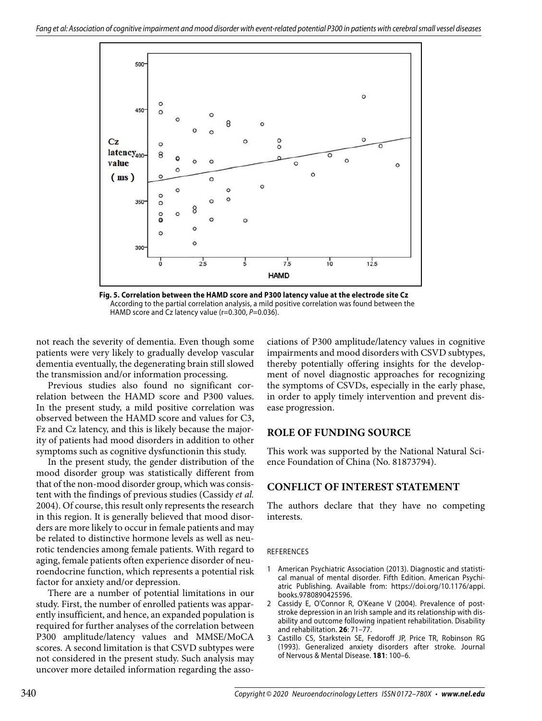

**Fig. 5. Correlation between the HAMD score and P300 latency value at the electrode site Cz** According to the partial correlation analysis, a mild positive correlation was found between the HAMD score and Cz latency value (r=0.300, P=0.036).

not reach the severity of dementia. Even though some patients were very likely to gradually develop vascular dementia eventually, the degenerating brain still slowed the transmission and/or information processing.

Previous studies also found no significant correlation between the HAMD score and P300 values. In the present study, a mild positive correlation was observed between the HAMD score and values for C3, Fz and Cz latency, and this is likely because the majority of patients had mood disorders in addition to other symptoms such as cognitive dysfunctionin this study.

In the present study, the gender distribution of the mood disorder group was statistically different from that of the non-mood disorder group, which was consistent with the findings of previous studies (Cassidy *et al.* 2004). Of course, this result only represents the research in this region. It is generally believed that mood disorders are more likely to occur in female patients and may be related to distinctive hormone levels as well as neurotic tendencies among female patients. With regard to aging, female patients often experience disorder of neuroendocrine function, which represents a potential risk factor for anxiety and/or depression.

There are a number of potential limitations in our study. First, the number of enrolled patients was apparently insufficient, and hence, an expanded population is required for further analyses of the correlation between P300 amplitude/latency values and MMSE/MoCA scores. A second limitation is that CSVD subtypes were not considered in the present study. Such analysis may uncover more detailed information regarding the associations of P300 amplitude/latency values in cognitive impairments and mood disorders with CSVD subtypes, thereby potentially offering insights for the development of novel diagnostic approaches for recognizing the symptoms of CSVDs, especially in the early phase, in order to apply timely intervention and prevent disease progression.

# **ROLE OF FUNDING SOURCE**

This work was supported by the National Natural Science Foundation of China (No. 81873794).

# **CONFLICT OF INTEREST STATEMENT**

The authors declare that they have no competing interests.

#### REFERENCES

- 1 American Psychiatric Association (2013). Diagnostic and statistical manual of mental disorder. Fifth Edition. American Psychiatric Publishing. Available from: https://doi.org/10.1176/appi. books.9780890425596.
- 2 Cassidy E, O'Connor R, O'Keane V (2004). Prevalence of poststroke depression in an Irish sample and its relationship with disability and outcome following inpatient rehabilitation. Disability and rehabilitation. **26**: 71–77.
- 3 Castillo CS, Starkstein SE, Fedoroff JP, Price TR, Robinson RG (1993). Generalized anxiety disorders after stroke. Journal of Nervous & Mental Disease. **181**: 100–6.